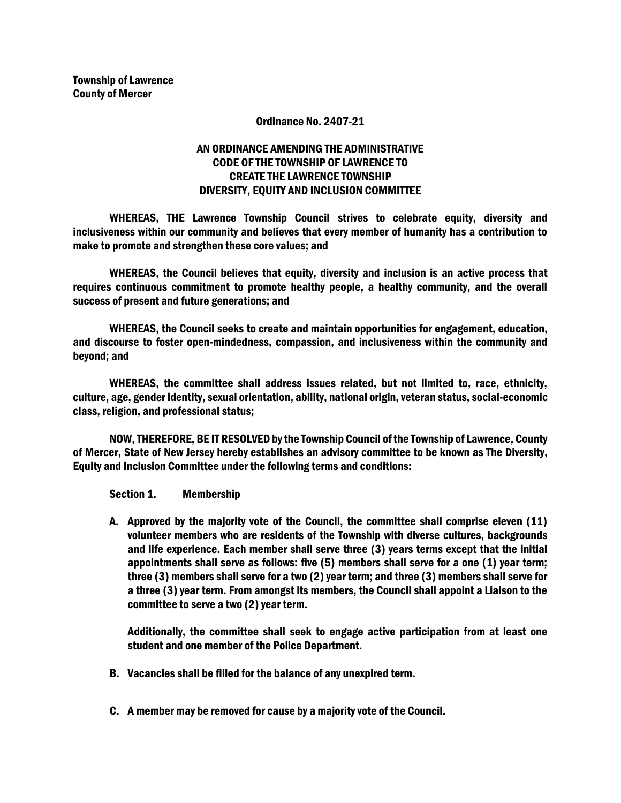### Ordinance No. 2407-21

# AN ORDINANCE AMENDING THE ADMINISTRATIVE CODE OF THE TOWNSHIP OF LAWRENCE TO CREATE THE LAWRENCE TOWNSHIP DIVERSITY, EQUITY AND INCLUSION COMMITTEE

WHEREAS, THE Lawrence Township Council strives to celebrate equity, diversity and inclusiveness within our community and believes that every member of humanity has a contribution to make to promote and strengthen these core values; and

WHEREAS, the Council believes that equity, diversity and inclusion is an active process that requires continuous commitment to promote healthy people, a healthy community, and the overall success of present and future generations; and

WHEREAS, the Council seeks to create and maintain opportunities for engagement, education, and discourse to foster open-mindedness, compassion, and inclusiveness within the community and beyond; and

WHEREAS, the committee shall address issues related, but not limited to, race, ethnicity, culture, age, gender identity, sexual orientation, ability, national origin, veteran status, social-economic class, religion, and professional status;

NOW, THEREFORE, BE IT RESOLVED by the Township Council of the Township of Lawrence, County of Mercer, State of New Jersey hereby establishes an advisory committee to be known as The Diversity, Equity and Inclusion Committee under the following terms and conditions:

Section 1. Membership

A. Approved by the majority vote of the Council, the committee shall comprise eleven (11) volunteer members who are residents of the Township with diverse cultures, backgrounds and life experience. Each member shall serve three (3) years terms except that the initial appointments shall serve as follows: five (5) members shall serve for a one (1) year term; three (3) members shall serve for a two (2) year term; and three (3) members shall serve for a three (3) year term. From amongst its members, the Council shall appoint a Liaison to the committee to serve a two (2) year term.

Additionally, the committee shall seek to engage active participation from at least one student and one member of the Police Department.

- B. Vacancies shall be filled for the balance of any unexpired term.
- C. A member may be removed for cause by a majority vote of the Council.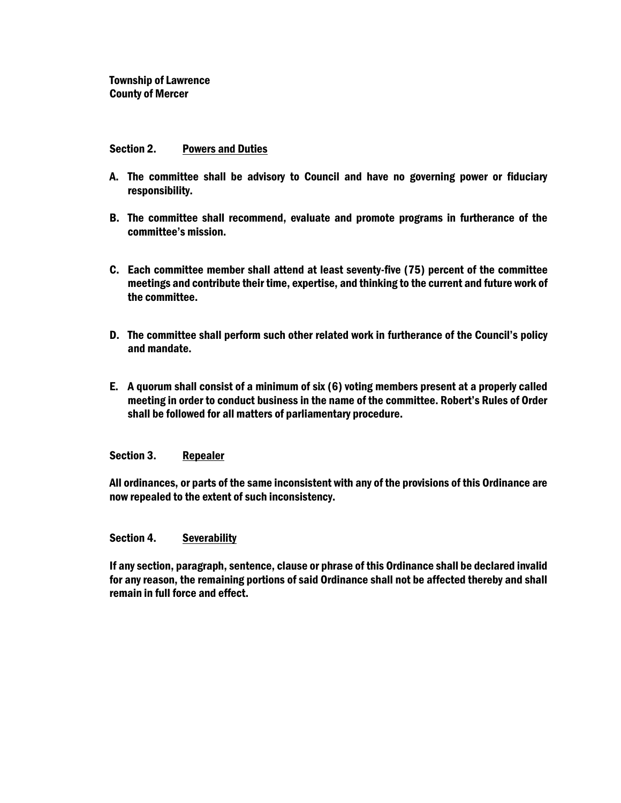### Section 2. Powers and Duties

- A. The committee shall be advisory to Council and have no governing power or fiduciary responsibility.
- B. The committee shall recommend, evaluate and promote programs in furtherance of the committee's mission.
- C. Each committee member shall attend at least seventy-five (75) percent of the committee meetings and contribute their time, expertise, and thinking to the current and future work of the committee.
- D. The committee shall perform such other related work in furtherance of the Council's policy and mandate.
- E. A quorum shall consist of a minimum of six (6) voting members present at a properly called meeting in order to conduct business in the name of the committee. Robert's Rules of Order shall be followed for all matters of parliamentary procedure.

### Section 3. Repealer

All ordinances, or parts of the same inconsistent with any of the provisions of this Ordinance are now repealed to the extent of such inconsistency.

### Section 4. Severability

If any section, paragraph, sentence, clause or phrase of this Ordinance shall be declared invalid for any reason, the remaining portions of said Ordinance shall not be affected thereby and shall remain in full force and effect.